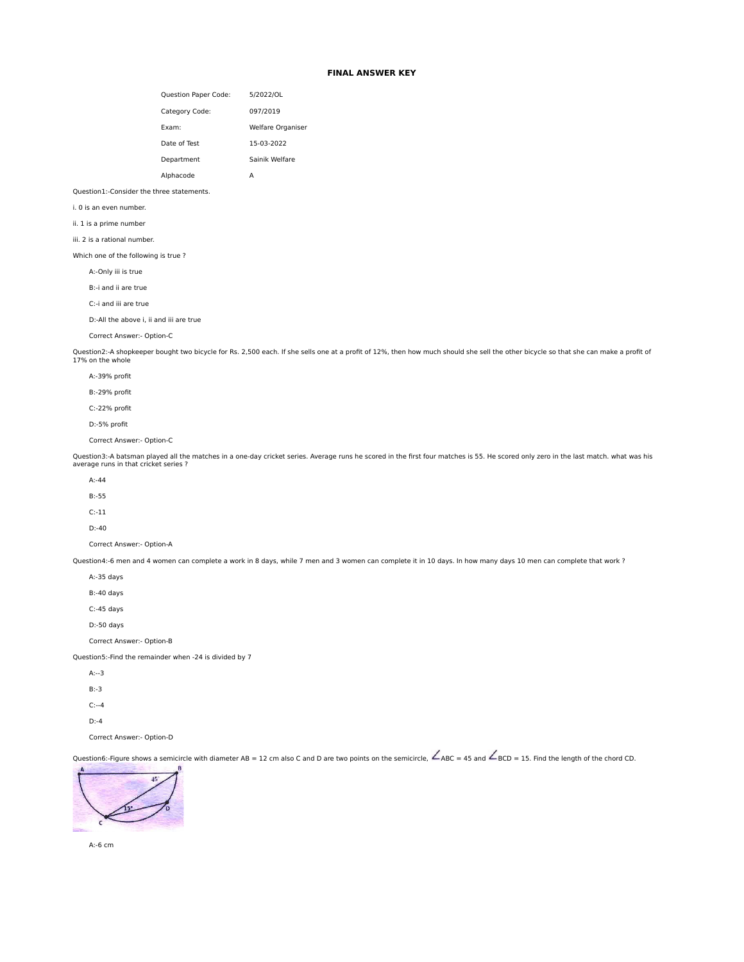# **FINAL ANSWER KEY**

| <b>Question Paper Code:</b> | 5/2022/OL                |
|-----------------------------|--------------------------|
| Category Code:              | 097/2019                 |
| Fxam:                       | <b>Welfare Organiser</b> |
| Date of Test                | 15-03-2022               |
| Department                  | Sainik Welfare           |
| Alphacode                   |                          |

### Question1:-Consider the three statements.

i. 0 is an even number.

ii. 1 is a prime number

iii. 2 is a rational number.

Which one of the following is true ?

A:-Only iii is true

B:-i and ii are true

C:-i and iii are true

D:-All the above i, ii and iii are true

Correct Answer:- Option-C

Question2:-A shopkeeper bought two bicycle for Rs. 2,500 each. If she sells one at a profit of 12%, then how much should she sell the other bicycle so that she can make a profit of 17% on the whole

A:-39% profit

B:-29% profit

C:-22% profit

D:-5% profit

Correct Answer:- Option-C

Question3:-A batsman played all the matches in a one-day cricket series. Average runs he scored in the first four matches is 55. He scored only zero in the last match. what was his average runs in that cricket series ?

- $A 44$
- B:-55

C:-11

D:-40

Correct Answer:- Option-A

Question4:-6 men and 4 women can complete a work in 8 days, while 7 men and 3 women can complete it in 10 days. In how many days 10 men can complete that work ?

| $A: -35$ days                                          |
|--------------------------------------------------------|
| $B: -40$ days                                          |
| $C: -45$ days                                          |
| $D: -50$ days                                          |
| Correct Answer:- Option-B                              |
| Question5:-Find the remainder when -24 is divided by 7 |
|                                                        |

 $A: -3$ 

- B:-3
- C:--4

D:-4

Correct Answer:- Option-D

Question6:-Figure shows a semicircle with diameter AB = 12 cm also C and D are two points on the semicircle,  $\angle$ ABC = 45 and  $\angle$ BCD = 15. Find the length of the chord CD.



A:-6 cm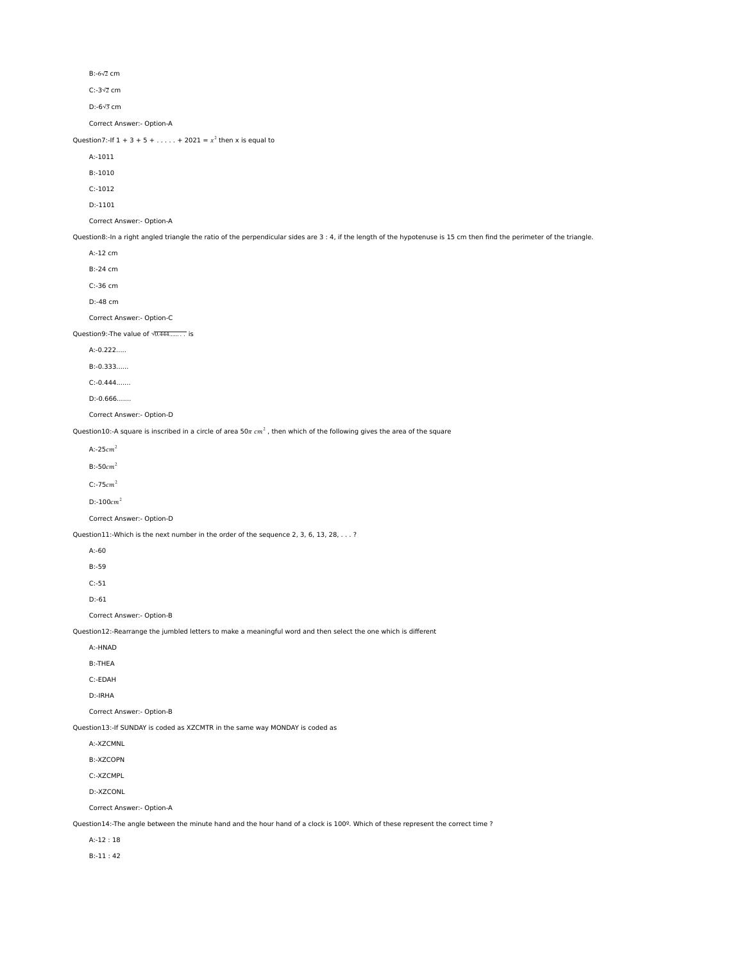B:-6√2 cm

C:-3√2 cm

D:-6√3 cm

Correct Answer:- Option-A

Question7:-If  $1 + 3 + 5 + ...$   $+ 2021 = x^2$  then x is equal to

A:-1011

B:-1010

C:-1012

D:-1101

Correct Answer:- Option-A

Question8:-In a right angled triangle the ratio of the perpendicular sides are 3 : 4, if the length of the hypotenuse is 15 cm then find the perimeter of the triangle.

 A:-12 cm B:-24 cm C:-36 cm D:-48 cm Correct Answer:- Option-C Question9:-The value of √0.444......... is A:-0.222..... B:-0.333......

C:-0.444.......

D:-0.666.......

Correct Answer:- Option-D

Question10:-A square is inscribed in a circle of area 50 $\pi$   $cm<sup>2</sup>$ , then which of the following gives the area of the square

A:- $25cm<sup>2</sup>$ 

 $B: -50cm^2$ 

 $C: -75cm<sup>2</sup>$ 

 $D:100cm<sup>2</sup>$ 

Correct Answer:- Option-D

Question11:-Which is the next number in the order of the sequence 2, 3, 6, 13, 28, . . . ?

A:-60

B:-59

C:-51

D:-61

Correct Answer:- Option-B

Question12:-Rearrange the jumbled letters to make a meaningful word and then select the one which is different

A:-HNAD

B:-THEA

C:-EDAH

D:-IRHA

Correct Answer:- Option-B

Question13:-If SUNDAY is coded as XZCMTR in the same way MONDAY is coded as

A:-XZCMNL

B:-XZCOPN

C:-XZCMPL

D:-XZCONL

Correct Answer:- Option-A

Question14:-The angle between the minute hand and the hour hand of a clock is 100º. Which of these represent the correct time ?

A:-12 : 18

B:-11 : 42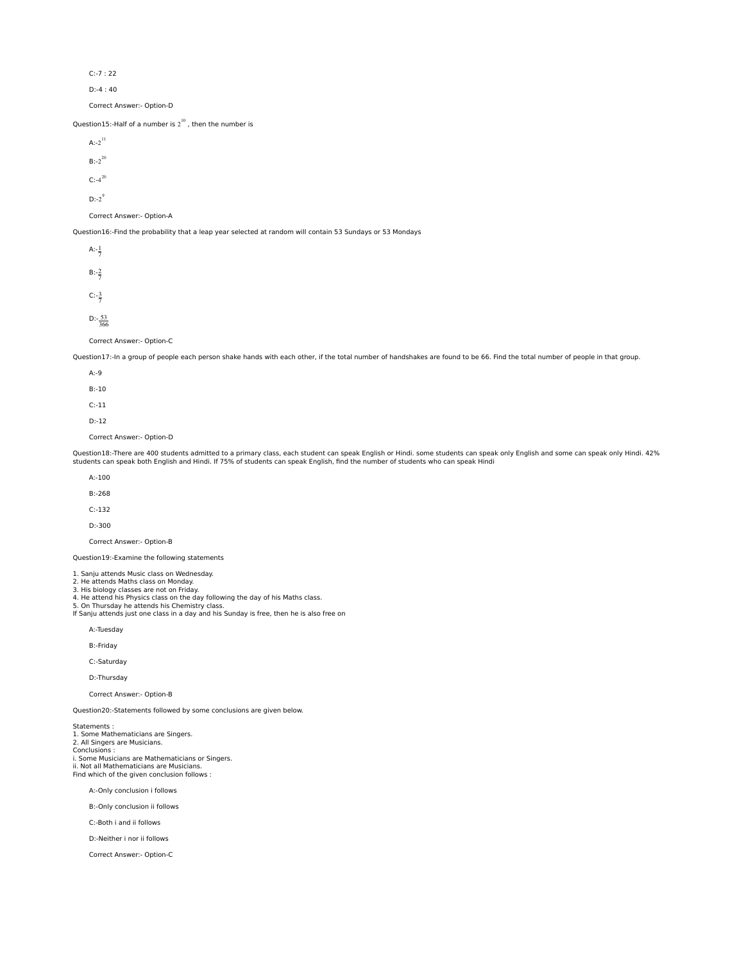C:-7 : 22

D:-4 : 40

Correct Answer:- Option-D

Question15:-Half of a number is  $2^{10}$  , then the number is

| $A:-2^{11}$               |
|---------------------------|
| $B:-2^{20}$               |
| $C: -4^{20}$              |
| $D: -2^9$                 |
| Correct Answer:- Option-A |
|                           |

Question16:-Find the probability that a leap year selected at random will contain 53 Sundays or 53 Mondays

| A: $-\frac{1}{7}$   |  |
|---------------------|--|
| $B:-\frac{2}{7}$    |  |
| $C: -\frac{3}{7}$   |  |
| $D:-\frac{53}{366}$ |  |

Correct Answer:- Option-C

Question17:-In a group of people each person shake hands with each other, if the total number of handshakes are found to be 66. Find the total number of people in that group.

| $A: -9$                   |
|---------------------------|
| $B: -10$                  |
| $C: -11$                  |
| $D: -12$                  |
| Correct Answer:- Option-D |

Question18:-There are 400 students admitted to a primary class, each student can speak English or Hindi. some students can speak only English and some can speak only Hindi. 42% students can speak both English and Hindi. If 75% of students can speak English, find the number of students who can speak Hindi

| $A - 100$                 |
|---------------------------|
| $B: -268$                 |
| $C: -132$                 |
| $D: -300$                 |
| Correct Answer:- Option-B |

Question19:-Examine the following statements

1. Sanju attends Music class on Wednesday. 2. He attends Maths class on Monday.

3. His biology classes are not on Friday.

4. He attend his Physics class on the day following the day of his Maths class.<br>5. On Thursday he attends his Chemistry class.<br>If Sanju attends just one class in a day and his Sunday is free, then he is also free on

A:-Tuesday

B:-Friday

C:-Saturday

D:-Thursday

Correct Answer:- Option-B

Question20:-Statements followed by some conclusions are given below.

Statements : 1. Some Mathematicians are Singers. 2. All Singers are Musicians. Conclusions : i. Some Musicians are Mathematicians or Singers. ii. Not all Mathematicians are Musicians. Find which of the given conclusion follows :

A:-Only conclusion i follows

B:-Only conclusion ii follows

C:-Both i and ii follows

D:-Neither i nor ii follows

Correct Answer:- Option-C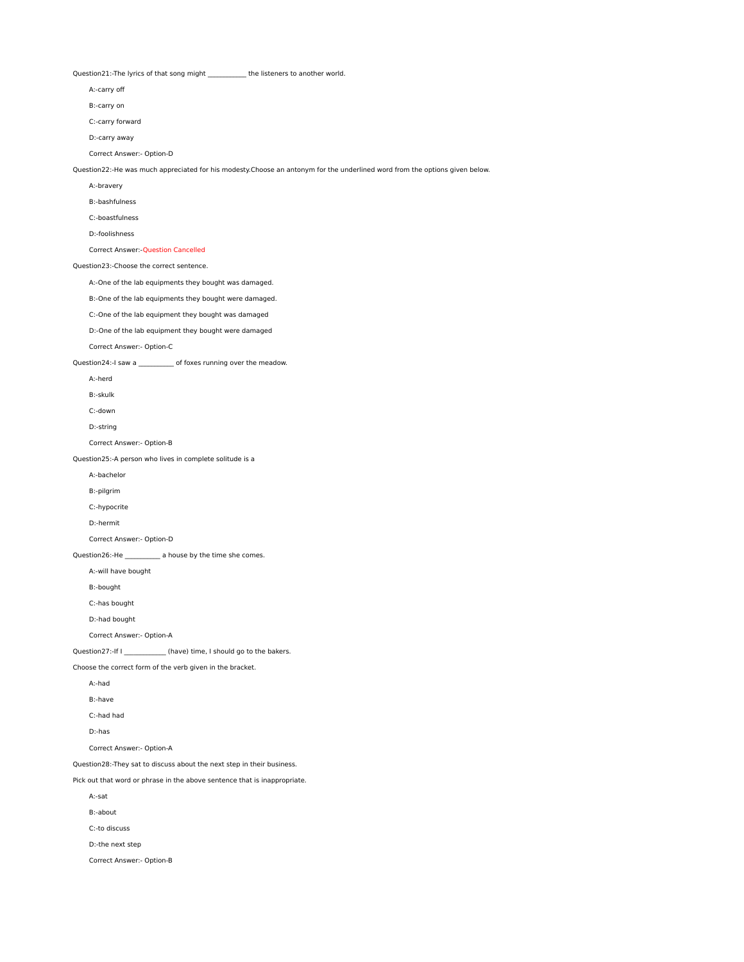Question21:-The lyrics of that song might \_\_\_\_\_\_\_\_\_\_\_\_ the listeners to another world.

A:-carry off

B:-carry on

C:-carry forward

D:-carry away

Correct Answer:- Option-D

Question22:-He was much appreciated for his modesty.Choose an antonym for the underlined word from the options given below.

A:-bravery

B:-bashfulness

C:-boastfulness

D:-foolishness

Correct Answer:-Question Cancelled

Question23:-Choose the correct sentence.

A:-One of the lab equipments they bought was damaged.

B:-One of the lab equipments they bought were damaged.

C:-One of the lab equipment they bought was damaged

D:-One of the lab equipment they bought were damaged

Correct Answer:- Option-C

Question24:-I saw a \_\_\_\_\_\_\_\_\_\_\_\_ of foxes running over the meadow.

A:-herd

B:-skulk

C:-down

D:-string

Correct Answer:- Option-B

Question25:-A person who lives in complete solitude is a

A:-bachelor

B:-pilgrim

C:-hypocrite

D:-hermit

Correct Answer:- Option-D

Question26:-He \_\_\_\_\_\_\_\_\_\_\_ a house by the time she comes.

A:-will have bought

B:-bought

C:-has bought

D:-had bought

Correct Answer:- Option-A

Question27:-If I \_\_\_\_\_\_\_\_\_\_\_\_\_ (have) time, I should go to the bakers.

Choose the correct form of the verb given in the bracket.

A:-had

B:-have

C:-had had

D:-has

Correct Answer:- Option-A

Question28:-They sat to discuss about the next step in their business.

Pick out that word or phrase in the above sentence that is inappropriate.

A:-sat

B:-about

C:-to discuss

D:-the next step

Correct Answer:- Option-B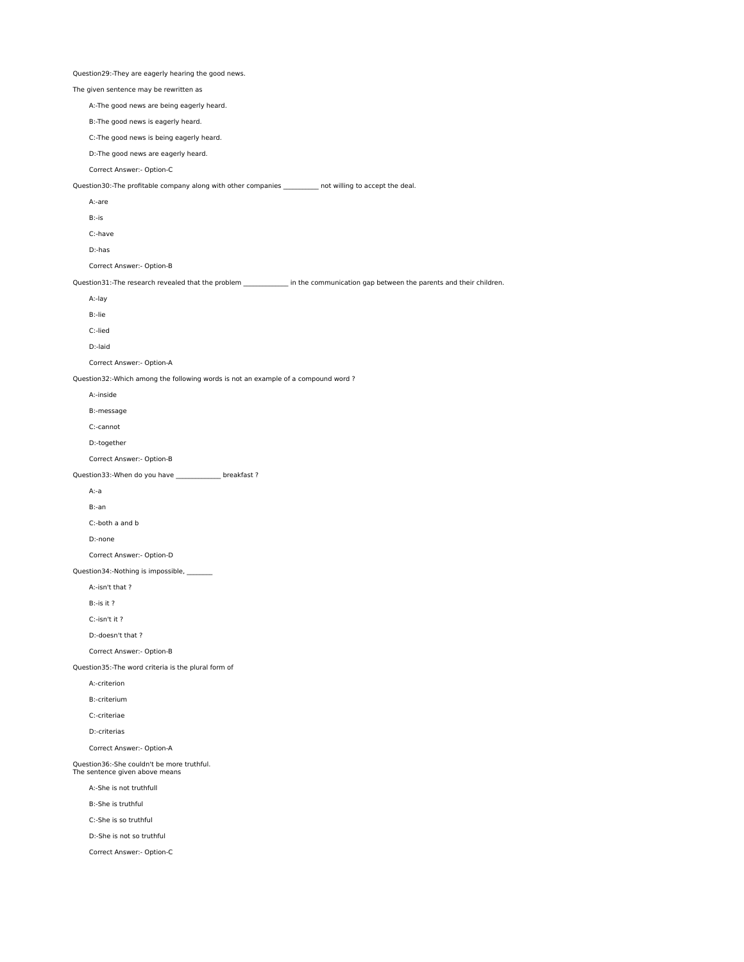Question29:-They are eagerly hearing the good news. The given sentence may be rewritten as A:-The good news are being eagerly heard. B:-The good news is eagerly heard. C:-The good news is being eagerly heard. D:-The good news are eagerly heard. Correct Answer:- Option-C Question30:-The profitable company along with other companies \_\_\_\_\_\_\_\_\_\_ not willing to accept the deal. A:-are B:-is C:-have D:-has Correct Answer:- Option-B Question31:-The research revealed that the problem \_\_\_\_\_\_\_\_\_\_\_\_\_\_ in the communication gap between the parents and their children. A:-lay B:-lie C:-lied D:-laid Correct Answer:- Option-A Question32:-Which among the following words is not an example of a compound word ? A:-inside B:-message C:-cannot D:-together Correct Answer:- Option-B Question33:-When do you have \_\_\_\_\_\_\_\_\_\_\_\_\_\_ breakfast ? A:-a B:-an C:-both a and b D:-none Correct Answer:- Option-D Question34:-Nothing is impossible, \_\_\_\_\_\_\_\_ A:-isn't that ? B:-is it ? C:-isn't it ? D:-doesn't that ? Correct Answer:- Option-B Question35:-The word criteria is the plural form of A:-criterion B:-criterium C:-criteriae D:-criterias Correct Answer:- Option-A Question36:-She couldn't be more truthful. The sentence given above means A:-She is not truthfull B:-She is truthful C:-She is so truthful D:-She is not so truthful Correct Answer:- Option-C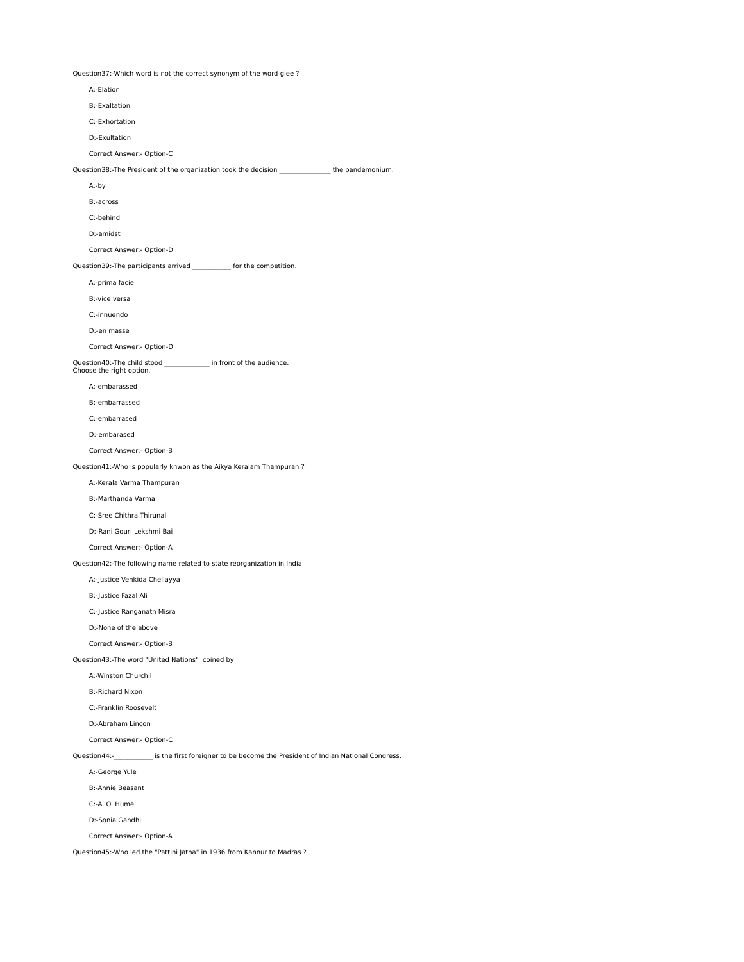Question37:-Which word is not the correct synonym of the word glee ?

| A:-Elation                                                                                              |  |
|---------------------------------------------------------------------------------------------------------|--|
| <b>B:-Exaltation</b>                                                                                    |  |
| C:-Exhortation                                                                                          |  |
| D:-Exultation                                                                                           |  |
| Correct Answer:- Option-C                                                                               |  |
| Question38:-The President of the organization took the decision _______________the pandemonium.         |  |
| A:-by                                                                                                   |  |
| B:-across                                                                                               |  |
| C:-behind                                                                                               |  |
| D:-amidst                                                                                               |  |
| Correct Answer:- Option-D                                                                               |  |
| Question39:-The participants arrived ____________ for the competition.                                  |  |
| A:-prima facie                                                                                          |  |
| B:-vice versa                                                                                           |  |
| C:-innuendo                                                                                             |  |
| D:-en masse                                                                                             |  |
| Correct Answer:- Option-D                                                                               |  |
| Question40:-The child stood ______________ in front of the audience.<br>Choose the right option.        |  |
| A:-embarassed                                                                                           |  |
| B:-embarrassed                                                                                          |  |
| C:-embarrased                                                                                           |  |
| D:-embarased                                                                                            |  |
| Correct Answer:- Option-B                                                                               |  |
| Question41:-Who is popularly knwon as the Aikya Keralam Thampuran?                                      |  |
| A:-Kerala Varma Thampuran                                                                               |  |
| B:-Marthanda Varma                                                                                      |  |
| C:-Sree Chithra Thirunal                                                                                |  |
| D:-Rani Gouri Lekshmi Bai                                                                               |  |
| Correct Answer:- Option-A                                                                               |  |
| Question42:-The following name related to state reorganization in India                                 |  |
| A:-Justice Venkida Chellayya                                                                            |  |
| B:-Justice Fazal Ali                                                                                    |  |
| C:-Justice Ranganath Misra                                                                              |  |
| D:-None of the above                                                                                    |  |
| Correct Answer:- Option-B                                                                               |  |
| Question43:-The word "United Nations" coined by                                                         |  |
| A:-Winston Churchil                                                                                     |  |
| <b>B:-Richard Nixon</b>                                                                                 |  |
| C:-Franklin Roosevelt                                                                                   |  |
| D:-Abraham Lincon                                                                                       |  |
| Correct Answer:- Option-C                                                                               |  |
| Question44:-____________ is the first foreigner to be become the President of Indian National Congress. |  |
| A:-George Yule                                                                                          |  |
| B:-Annie Beasant                                                                                        |  |
| C:-A. O. Hume                                                                                           |  |
| D:-Sonia Gandhi                                                                                         |  |
| Correct Answer:- Option-A                                                                               |  |
| Question45:-Who led the "Pattini Jatha" in 1936 from Kannur to Madras ?                                 |  |
|                                                                                                         |  |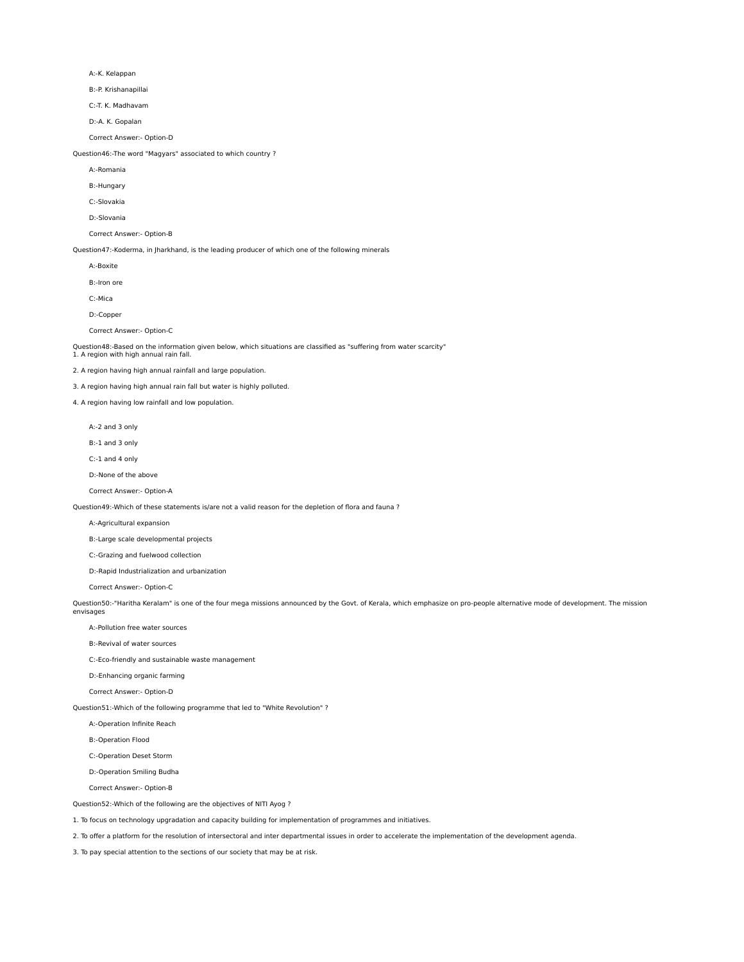A:-K. Kelappan

B:-P. Krishanapillai

C:-T. K. Madhavam

D:-A. K. Gopalan

Correct Answer:- Option-D

Question46:-The word "Magyars" associated to which country ?

A:-Romania

B:-Hungary

C:-Slovakia

D:-Slovania

Correct Answer:- Option-B

Question47:-Koderma, in Jharkhand, is the leading producer of which one of the following minerals

A:-Boxite

B:-Iron ore

C:-Mica

D:-Copper

Correct Answer:- Option-C

Question48:-Based on the information given below, which situations are classified as "suffering from water scarcity" 1. A region with high annual rain fall.

2. A region having high annual rainfall and large population.

3. A region having high annual rain fall but water is highly polluted.

4. A region having low rainfall and low population.

A:-2 and 3 only

B:-1 and 3 only

C:-1 and 4 only

D:-None of the above

Correct Answer:- Option-A

Question49:-Which of these statements is/are not a valid reason for the depletion of flora and fauna ?

A:-Agricultural expansion

B:-Large scale developmental projects

C:-Grazing and fuelwood collection

D:-Rapid Industrialization and urbanization

Correct Answer:- Option-C

Question50:-"Haritha Keralam" is one of the four mega missions announced by the Govt. of Kerala, which emphasize on pro-people alternative mode of development. The mission envisages

A:-Pollution free water sources

B:-Revival of water sources

C:-Eco-friendly and sustainable waste management

D:-Enhancing organic farming

Correct Answer:- Option-D

Question51:-Which of the following programme that led to "White Revolution" ?

A:-Operation Infinite Reach

B:-Operation Flood

C:-Operation Deset Storm

D:-Operation Smiling Budha

Correct Answer:- Option-B

Question52:-Which of the following are the objectives of NITI Ayog ?

1. To focus on technology upgradation and capacity building for implementation of programmes and initiatives.

2. To offer a platform for the resolution of intersectoral and inter departmental issues in order to accelerate the implementation of the development agenda.

3. To pay special attention to the sections of our society that may be at risk.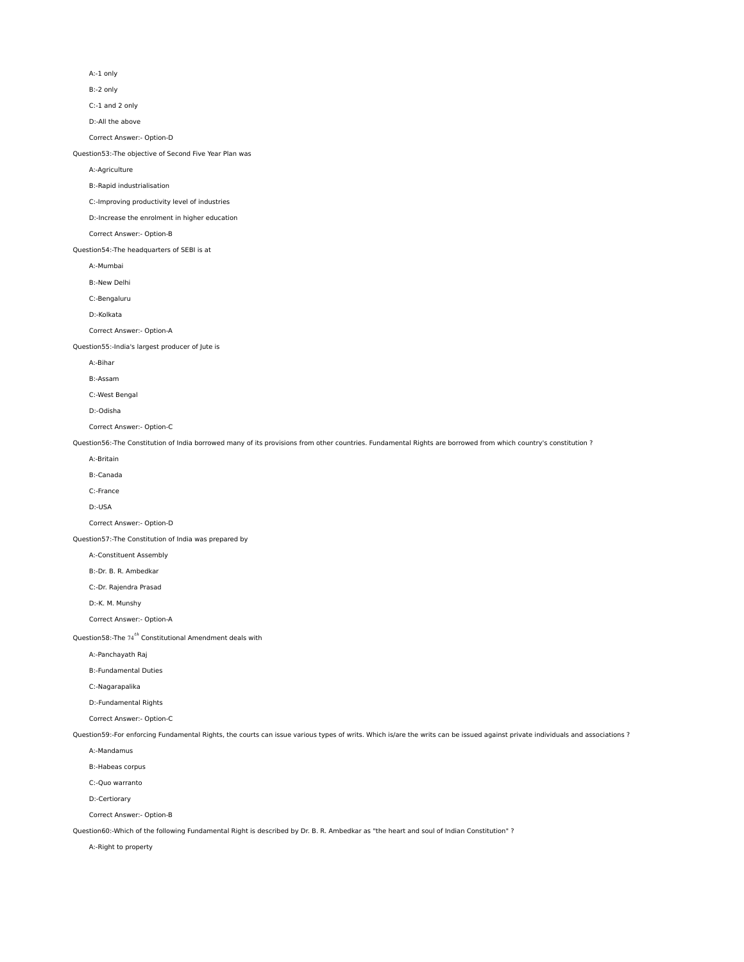A:-1 only

B:-2 only

C:-1 and 2 only

D:-All the above

Correct Answer:- Option-D

Question53:-The objective of Second Five Year Plan was

A:-Agriculture

B:-Rapid industrialisation

C:-Improving productivity level of industries

D:-Increase the enrolment in higher education

Correct Answer:- Option-B

Question54:-The headquarters of SEBI is at

A:-Mumbai

B:-New Delhi

C:-Bengaluru

D:-Kolkata

Correct Answer:- Option-A

Question55:-India's largest producer of Jute is

A:-Bihar

B:-Assam

C:-West Bengal

D:-Odisha

Correct Answer:- Option-C

Question56:-The Constitution of India borrowed many of its provisions from other countries. Fundamental Rights are borrowed from which country's constitution ?

A:-Britain

B:-Canada

C:-France

D:-USA

Correct Answer:- Option-D

Question57:-The Constitution of India was prepared by

A:-Constituent Assembly

B:-Dr. B. R. Ambedkar

C:-Dr. Rajendra Prasad

D:-K. M. Munshy

Correct Answer:- Option-A

Question58:-The  $74^{th}$  Constitutional Amendment deals with

A:-Panchayath Raj

B:-Fundamental Duties

C:-Nagarapalika

D:-Fundamental Rights

Correct Answer:- Option-C

Question59:-For enforcing Fundamental Rights, the courts can issue various types of writs. Which is/are the writs can be issued against private individuals and associations ?

A:-Mandamus

B:-Habeas corpus

C:-Quo warranto

D:-Certiorary

Correct Answer:- Option-B

Question60:-Which of the following Fundamental Right is described by Dr. B. R. Ambedkar as "the heart and soul of Indian Constitution" ?

A:-Right to property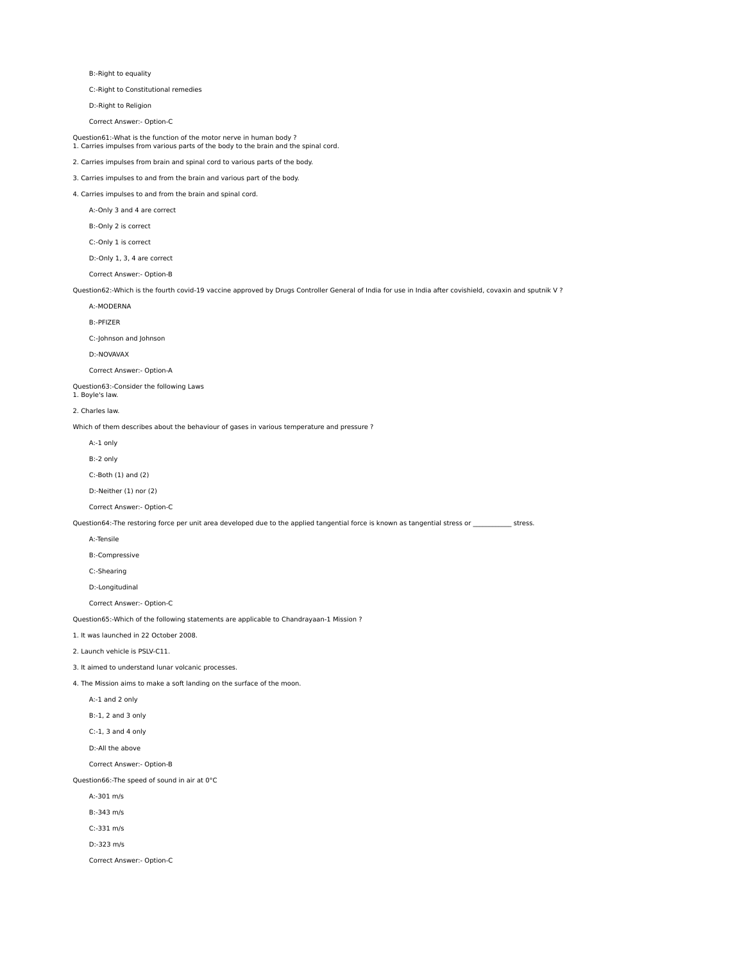B:-Right to equality

C:-Right to Constitutional remedies

D:-Right to Religion

Correct Answer:- Option-C

Question61:-What is the function of the motor nerve in human body ? 1. Carries impulses from various parts of the body to the brain and the spinal cord.

2. Carries impulses from brain and spinal cord to various parts of the body.

3. Carries impulses to and from the brain and various part of the body.

4. Carries impulses to and from the brain and spinal cord. A:-Only 3 and 4 are correct

B:-Only 2 is correct

C:-Only 1 is correct

D:-Only 1, 3, 4 are correct

Correct Answer:- Option-B

Question62:-Which is the fourth covid-19 vaccine approved by Drugs Controller General of India for use in India after covishield, covaxin and sputnik V ?

A:-MODERNA

B:-PFIZER

C:-Johnson and Johnson

D:-NOVAVAX

Correct Answer:- Option-A

Question63:-Consider the following Laws

1. Boyle's law.

2. Charles law.

Which of them describes about the behaviour of gases in various temperature and pressure ?

A:-1 only

B:-2 only

C:-Both (1) and (2)

D:-Neither (1) nor (2)

Correct Answer:- Option-C

Question64:-The restoring force per unit area developed due to the applied tangential force is known as tangential stress or \_\_\_\_\_\_\_\_\_\_\_\_\_ stress.

A:-Tensile

B:-Compressive

C:-Shearing

D:-Longitudinal

Correct Answer:- Option-C

Question65:-Which of the following statements are applicable to Chandrayaan-1 Mission ?

1. It was launched in 22 October 2008.

2. Launch vehicle is PSLV-C11.

3. It aimed to understand lunar volcanic processes.

4. The Mission aims to make a soft landing on the surface of the moon.

A:-1 and 2 only

B:-1, 2 and 3 only

C:-1, 3 and 4 only

D:-All the above

Correct Answer:- Option-B

Question66:-The speed of sound in air at 0°C

A:-301 m/s

B:-343 m/s

C:-331 m/s

D:-323 m/s

Correct Answer:- Option-C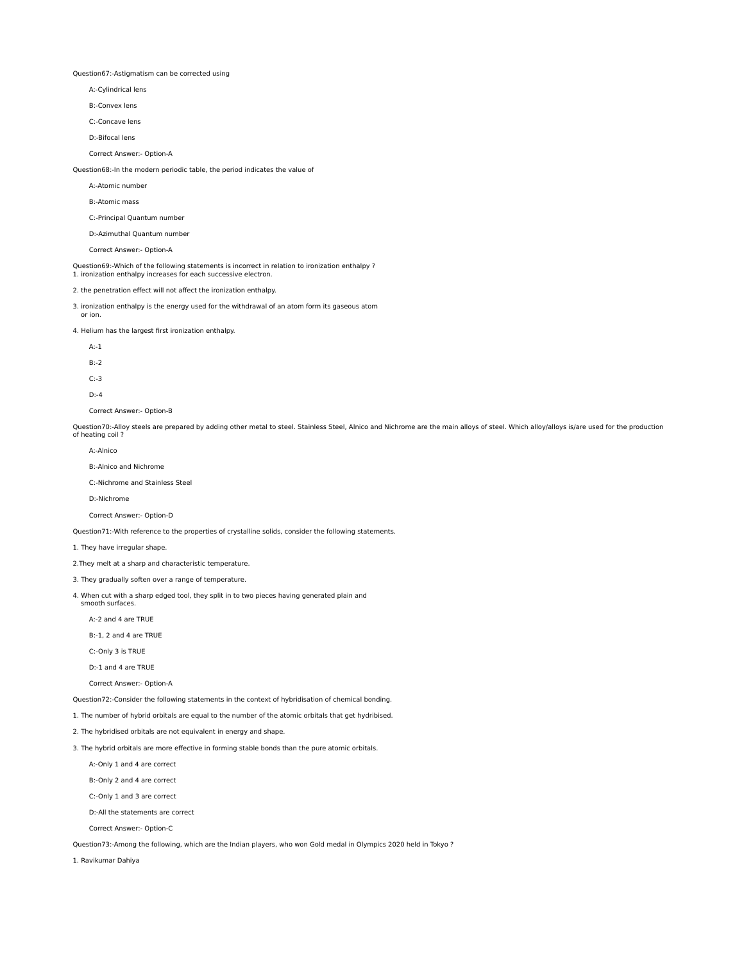Question67:-Astigmatism can be corrected using

- A:-Cylindrical lens
- B:-Convex lens
- C:-Concave lens
- D:-Bifocal lens
- Correct Answer:- Option-A

Question68:-In the modern periodic table, the period indicates the value of

- A:-Atomic number
- B:-Atomic mass

C:-Principal Quantum number

D:-Azimuthal Quantum number

Correct Answer:- Option-A

Question69:-Which of the following statements is incorrect in relation to ironization enthalpy ? 1. ironization enthalpy increases for each successive electron.

2. the penetration effect will not affect the ironization enthalpy.

3. ironization enthalpy is the energy used for the withdrawal of an atom form its gaseous atom or ion.

4. Helium has the largest first ironization enthalpy.

- A:-1
- 
- B:-2
- C:-3
- D:-4
- Correct Answer:- Option-B

Question70:-Alloy steels are prepared by adding other metal to steel. Stainless Steel, Alnico and Nichrome are the main alloys of steel. Which alloy/alloys is/are used for the production of heating coil ?

- A:-Alnico
- B:-Alnico and Nichrome

C:-Nichrome and Stainless Steel

D:-Nichrome

Correct Answer:- Option-D

Question71:-With reference to the properties of crystalline solids, consider the following statements.

1. They have irregular shape.

2.They melt at a sharp and characteristic temperature.

3. They gradually soften over a range of temperature.

4. When cut with a sharp edged tool, they split in to two pieces having generated plain and

A:-2 and 4 are TRUE

smooth surfaces.

B:-1, 2 and 4 are TRUE

C:-Only 3 is TRUE

- D:-1 and 4 are TRUE
- Correct Answer:- Option-A

Question72:-Consider the following statements in the context of hybridisation of chemical bonding.

1. The number of hybrid orbitals are equal to the number of the atomic orbitals that get hydribised.

2. The hybridised orbitals are not equivalent in energy and shape.

3. The hybrid orbitals are more effective in forming stable bonds than the pure atomic orbitals.

A:-Only 1 and 4 are correct

B:-Only 2 and 4 are correct

- C:-Only 1 and 3 are correct
- D:-All the statements are correct
- Correct Answer:- Option-C

Question73:-Among the following, which are the Indian players, who won Gold medal in Olympics 2020 held in Tokyo ?

1. Ravikumar Dahiya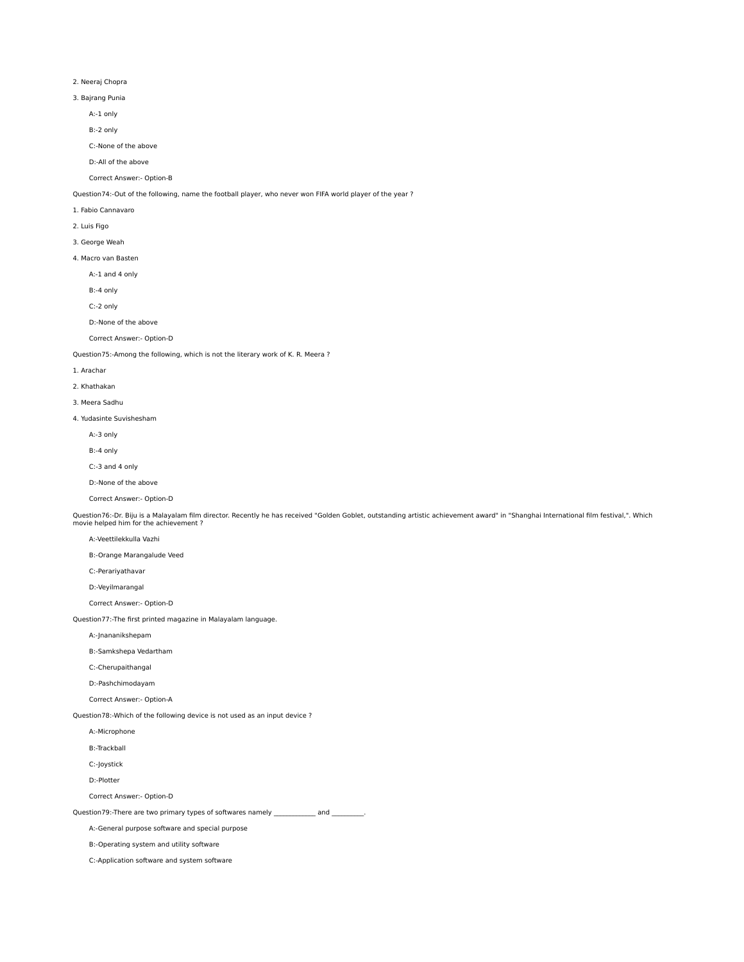# 2. Neeraj Chopra

- 3. Bajrang Punia
	- A:-1 only
	- B:-2 only
	- C:-None of the above
	- D:-All of the above

### Correct Answer:- Option-B

Question74:-Out of the following, name the football player, who never won FIFA world player of the year ?

## 1. Fabio Cannavaro

2. Luis Figo

## 3. George Weah

4. Macro van Basten

A:-1 and 4 only

B:-4 only

- C:-2 only
- D:-None of the above

Correct Answer:- Option-D

Question75:-Among the following, which is not the literary work of K. R. Meera ?

#### 1. Arachar

2. Khathakan

## 3. Meera Sadhu

- 4. Yudasinte Suvishesham
	- A:-3 only
	- B:-4 only
	- C:-3 and 4 only
	-
	- D:-None of the above
	- Correct Answer:- Option-D

Question76:-Dr. Biju is a Malayalam film director. Recently he has received "Golden Goblet, outstanding artistic achievement award" in "Shanghai International film festival,". Which<br>movie helped him for the achievement ?

## A:-Veettilekkulla Vazhi

- B:-Orange Marangalude Veed
- C:-Perariyathavar
- D:-Veyilmarangal
- Correct Answer:- Option-D

## Question77:-The first printed magazine in Malayalam language.

- A:-Jnananikshepam
- B:-Samkshepa Vedartham
- C:-Cherupaithangal
- D:-Pashchimodayam

# Correct Answer:- Option-A

Question78:-Which of the following device is not used as an input device ?

- A:-Microphone
- B:-Trackball
- C:-Joystick

D:-Plotter

Correct Answer:- Option-D

Question79:-There are two primary types of softwares namely \_\_\_\_\_\_\_\_\_\_\_\_\_ and \_

A:-General purpose software and special purpose

- B:-Operating system and utility software
- C:-Application software and system software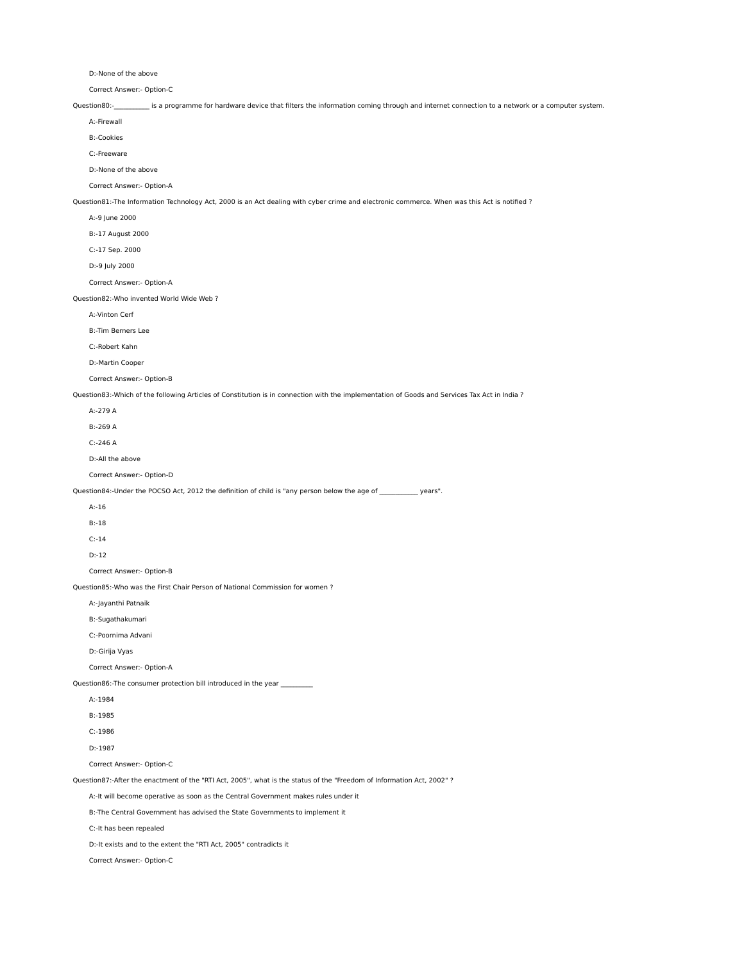D:-None of the above

Correct Answer:- Option-C

Question80:-\_\_\_\_\_\_\_\_\_\_\_ is a programme for hardware device that filters the information coming through and internet connection to a network or a computer system.

 A:-Firewall B:-Cookies

C:-Freeware

D:-None of the above

Correct Answer:- Option-A

Question81:-The Information Technology Act, 2000 is an Act dealing with cyber crime and electronic commerce. When was this Act is notified ?

A:-9 June 2000

B:-17 August 2000

C:-17 Sep. 2000

D:-9 July 2000

Correct Answer:- Option-A

Question82:-Who invented World Wide Web ?

A:-Vinton Cerf

B:-Tim Berners Lee

C:-Robert Kahn

D:-Martin Cooper

Correct Answer:- Option-B

Question83:-Which of the following Articles of Constitution is in connection with the implementation of Goods and Services Tax Act in India ?

A:-279 A

B:-269 A

C:-246 A

D:-All the above

Correct Answer:- Option-D

Question84:-Under the POCSO Act, 2012 the definition of child is "any person below the age of \_\_\_\_\_\_\_\_\_\_ years".

A:-16

B:-18

- C:-14
- D:-12

Correct Answer:- Option-B

Question85:-Who was the First Chair Person of National Commission for women ?

A:-Jayanthi Patnaik

B:-Sugathakumari

C:-Poornima Advani

D:-Girija Vyas

Correct Answer:- Option-A

Question86:-The consumer protection bill introduced in the year \_

A:-1984

B:-1985

C:-1986

D:-1987

Correct Answer:- Option-C

Question87:-After the enactment of the "RTI Act, 2005", what is the status of the "Freedom of Information Act, 2002" ?

A:-It will become operative as soon as the Central Government makes rules under it

B:-The Central Government has advised the State Governments to implement it

C:-It has been repealed

D:-It exists and to the extent the "RTI Act, 2005" contradicts it

Correct Answer:- Option-C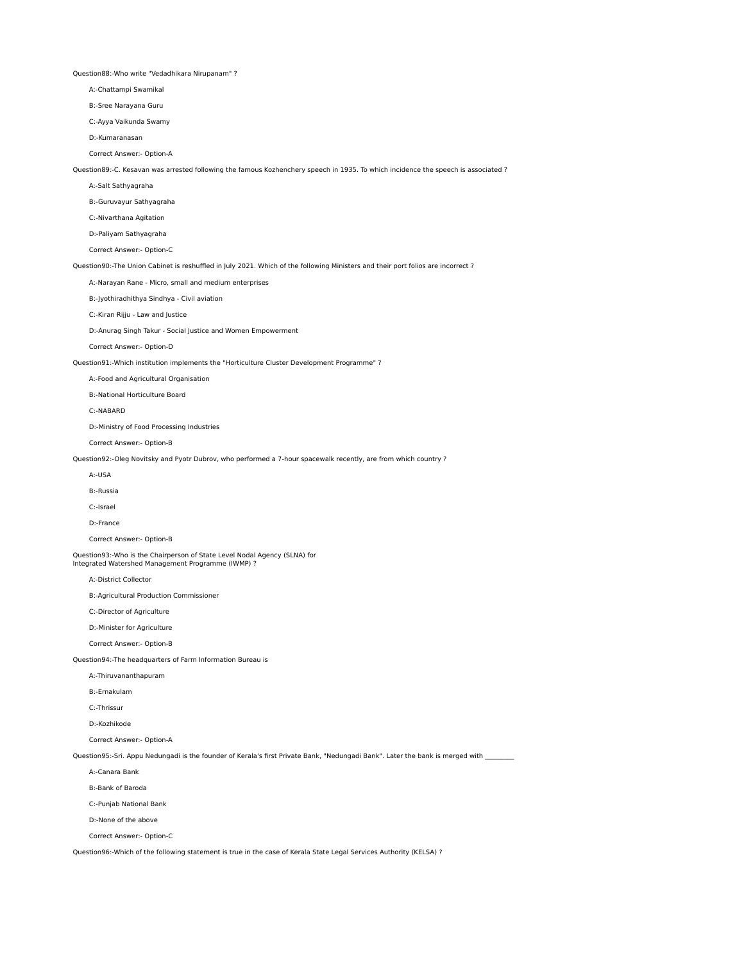Question88:-Who write "Vedadhikara Nirupanam" ?

A:-Chattampi Swamikal

B:-Sree Narayana Guru

C:-Ayya Vaikunda Swamy

D:-Kumaranasan

Correct Answer:- Option-A

Question89:-C. Kesavan was arrested following the famous Kozhenchery speech in 1935. To which incidence the speech is associated ?

A:-Salt Sathyagraha

B:-Guruvayur Sathyagraha

C:-Nivarthana Agitation

D:-Paliyam Sathyagraha

Correct Answer:- Option-C

Question90:-The Union Cabinet is reshuffled in July 2021. Which of the following Ministers and their port folios are incorrect ?

A:-Narayan Rane - Micro, small and medium enterprises

B:-Jyothiradhithya Sindhya - Civil aviation

C:-Kiran Rijju - Law and Justice

D:-Anurag Singh Takur - Social Justice and Women Empowerment

Correct Answer:- Option-D

Question91:-Which institution implements the "Horticulture Cluster Development Programme" ?

A:-Food and Agricultural Organisation

B:-National Horticulture Board

C:-NABARD

D:-Ministry of Food Processing Industries

Correct Answer:- Option-B

Question92:-Oleg Novitsky and Pyotr Dubrov, who performed a 7-hour spacewalk recently, are from which country ?

A:-USA

B:-Russia

C:-Israel

D:-France

Correct Answer:- Option-B

Question93:-Who is the Chairperson of State Level Nodal Agency (SLNA) for Integrated Watershed Management Programme (IWMP) ?

A:-District Collector

B:-Agricultural Production Commissioner

C:-Director of Agriculture

D:-Minister for Agriculture

Correct Answer:- Option-B

Question94:-The headquarters of Farm Information Bureau is

A:-Thiruvananthapuram

B:-Ernakulam

C:-Thrissur

D:-Kozhikode

Correct Answer:- Option-A

Question95:-Sri. Appu Nedungadi is the founder of Kerala's first Private Bank, "Nedungadi Bank". Later the bank is merged with

A:-Canara Bank

B:-Bank of Baroda

C:-Punjab National Bank

D:-None of the above

Correct Answer:- Option-C

Question96:-Which of the following statement is true in the case of Kerala State Legal Services Authority (KELSA) ?